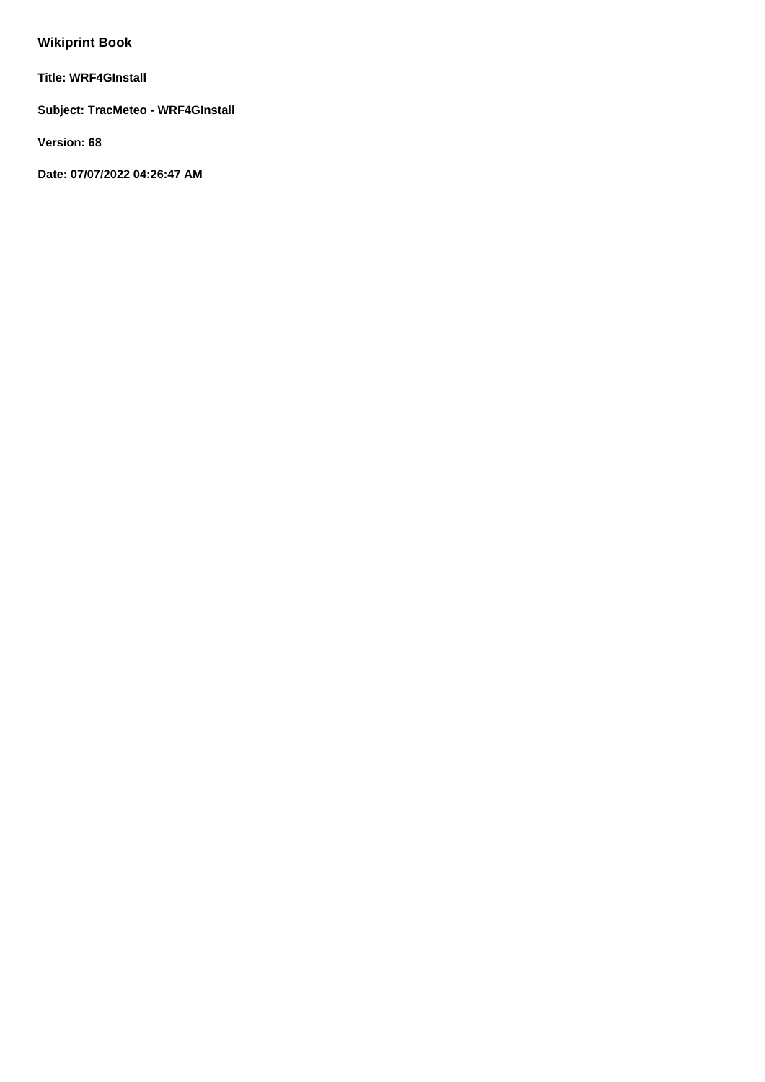# **Wikiprint Book**

**Title: WRF4GInstall**

**Subject: TracMeteo - WRF4GInstall**

**Version: 68**

**Date: 07/07/2022 04:26:47 AM**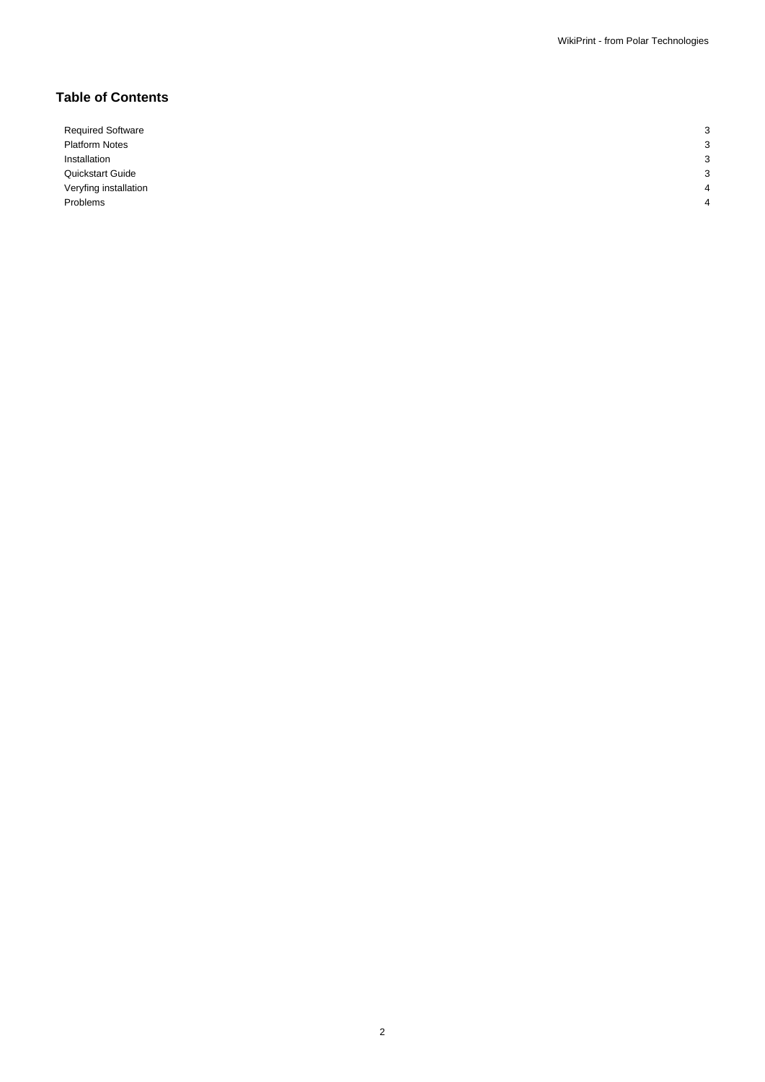## **Table of Contents**

Required Software 3 Platform Notes 3 Installation 3 Quickstart Guide 3 Veryfing installation 4 Problems 4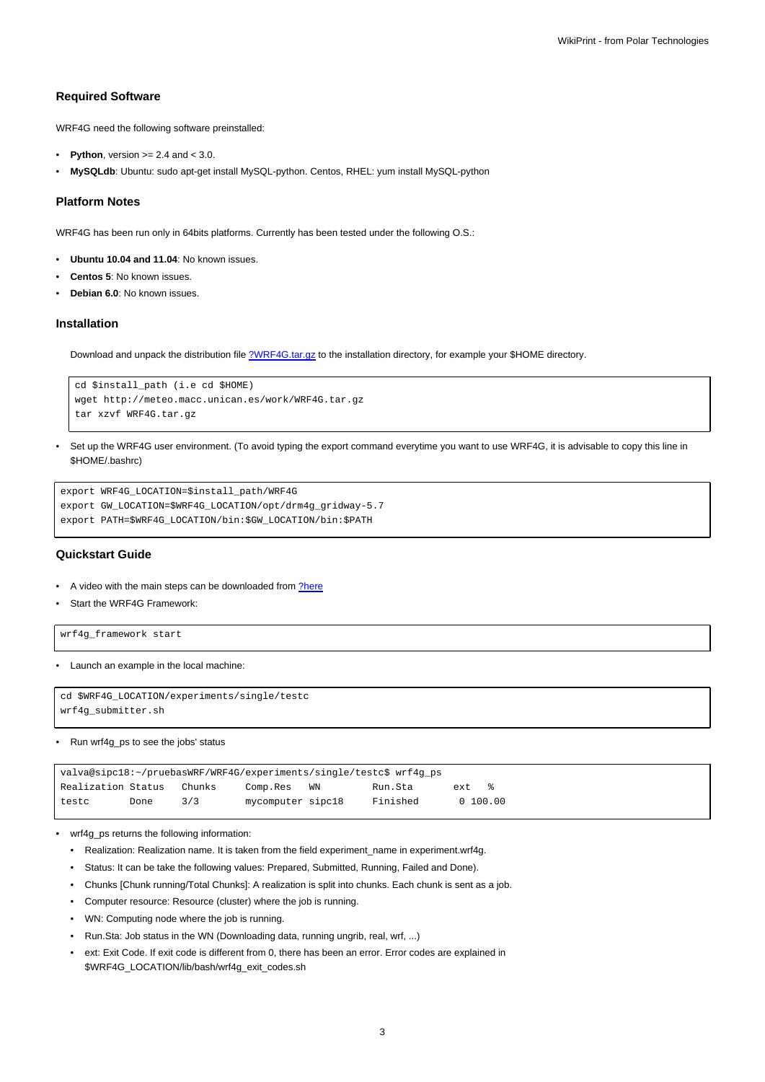## **Required Software**

WRF4G need the following software preinstalled:

- **Python**, version  $>= 2.4$  and  $< 3.0$ .
- **MySQLdb**: Ubuntu: sudo apt-get install MySQL-python. Centos, RHEL: yum install MySQL-python

#### **Platform Notes**

WRF4G has been run only in 64bits platforms. Currently has been tested under the following O.S.:

- **Ubuntu 10.04 and 11.04**: No known issues.
- **Centos 5**: No known issues.
- **Debian 6.0**: No known issues.

#### **Installation**

Download and unpack the distribution file [?WRF4G.tar.gz](http://meteo.macc.unican.es/work/WRF4G.tar.gz) to the installation directory, for example your \$HOME directory.

```
cd $install_path (i.e cd $HOME)
wget http://meteo.macc.unican.es/work/WRF4G.tar.gz
tar xzvf WRF4G.tar.gz
```
• Set up the WRF4G user environment. (To avoid typing the export command everytime you want to use WRF4G, it is advisable to copy this line in \$HOME/.bashrc)

```
export WRF4G_LOCATION=$install_path/WRF4G
export GW_LOCATION=$WRF4G_LOCATION/opt/drm4g_gridway-5.7
export PATH=$WRF4G_LOCATION/bin:$GW_LOCATION/bin:$PATH
```
## **Quickstart Guide**

- A video with the main steps can be downloaded from [?here](http://meteo.macc.unican.es/work/WRF4Gdemo.mpeg)
- Start the WRF4G Framework:

wrf4g\_framework start

• Launch an example in the local machine:

```
cd $WRF4G_LOCATION/experiments/single/testc
wrf4g_submitter.sh
```
#### • Run wrf4g\_ps to see the jobs' status

| valva@sipc18:~/pruebasWRF/WRF4G/experiments/single/testc\$ wrf4g_ps |      |        |                   |    |          |      |            |  |  |
|---------------------------------------------------------------------|------|--------|-------------------|----|----------|------|------------|--|--|
| Realization Status                                                  |      | Chunks | Comp.Res          | WN | Run.Sta  | ext. | $\approx$  |  |  |
| testc                                                               | Done | 3/3    | mycomputer sipc18 |    | Finished |      | 0, 100, 00 |  |  |

- wrf4g\_ps returns the following information:
	- Realization: Realization name. It is taken from the field experiment\_name in experiment.wrf4g.
	- Status: It can be take the following values: Prepared, Submitted, Running, Failed and Done).
	- Chunks [Chunk running/Total Chunks]: A realization is split into chunks. Each chunk is sent as a job.
	- Computer resource: Resource (cluster) where the job is running.
	- WN: Computing node where the job is running.
	- Run.Sta: Job status in the WN (Downloading data, running ungrib, real, wrf, ...)
	- ext: Exit Code. If exit code is different from 0, there has been an error. Error codes are explained in \$WRF4G\_LOCATION/lib/bash/wrf4g\_exit\_codes.sh